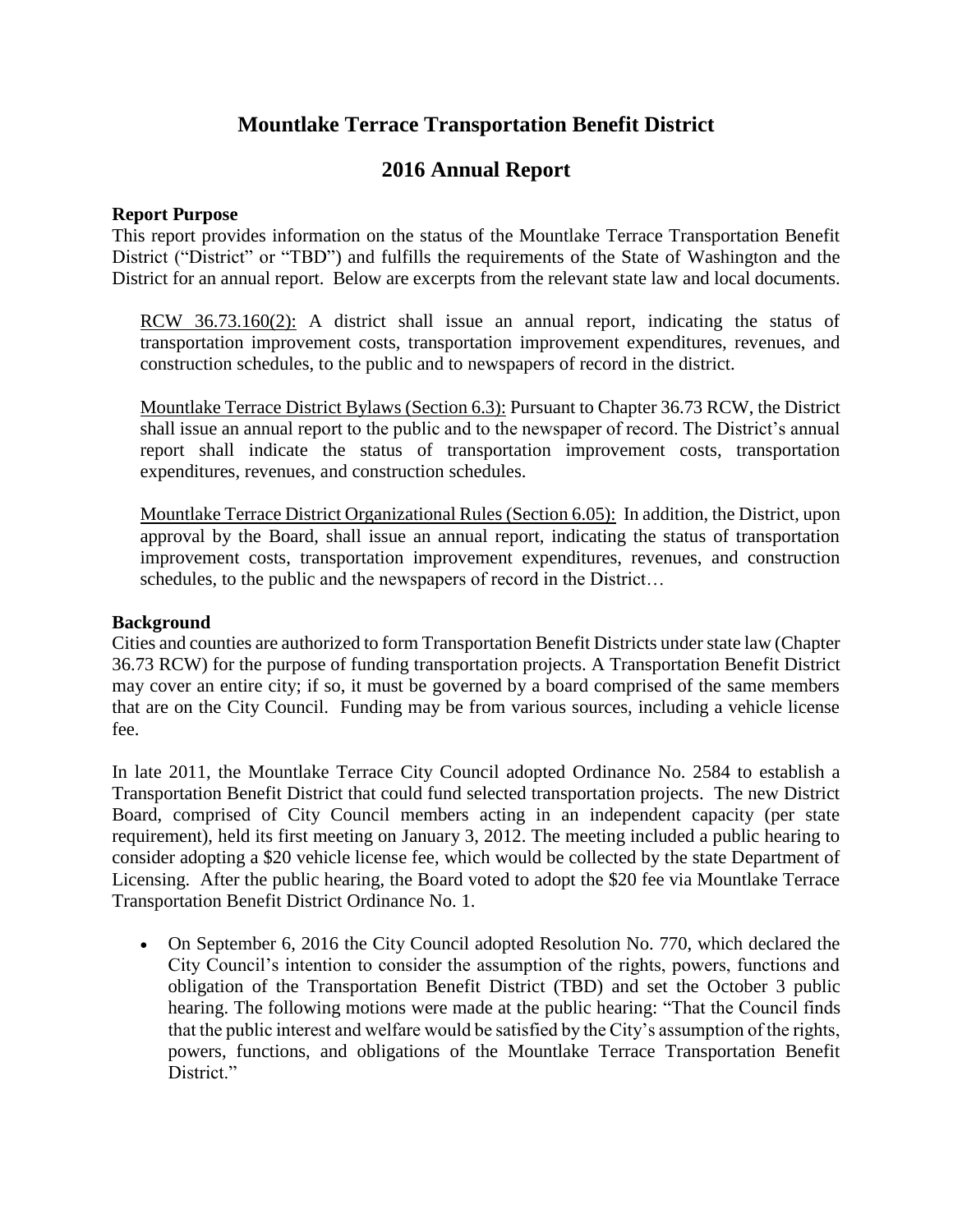# **Mountlake Terrace Transportation Benefit District**

# **2016 Annual Report**

### **Report Purpose**

This report provides information on the status of the Mountlake Terrace Transportation Benefit District ("District" or "TBD") and fulfills the requirements of the State of Washington and the District for an annual report. Below are excerpts from the relevant state law and local documents.

RCW 36.73.160(2): A district shall issue an annual report, indicating the status of transportation improvement costs, transportation improvement expenditures, revenues, and construction schedules, to the public and to newspapers of record in the district.

Mountlake Terrace District Bylaws (Section 6.3): Pursuant to Chapter 36.73 RCW, the District shall issue an annual report to the public and to the newspaper of record. The District's annual report shall indicate the status of transportation improvement costs, transportation expenditures, revenues, and construction schedules.

Mountlake Terrace District Organizational Rules (Section 6.05): In addition, the District, upon approval by the Board, shall issue an annual report, indicating the status of transportation improvement costs, transportation improvement expenditures, revenues, and construction schedules, to the public and the newspapers of record in the District…

### **Background**

Cities and counties are authorized to form Transportation Benefit Districts under state law (Chapter 36.73 RCW) for the purpose of funding transportation projects. A Transportation Benefit District may cover an entire city; if so, it must be governed by a board comprised of the same members that are on the City Council. Funding may be from various sources, including a vehicle license fee.

In late 2011, the Mountlake Terrace City Council adopted Ordinance No. 2584 to establish a Transportation Benefit District that could fund selected transportation projects. The new District Board, comprised of City Council members acting in an independent capacity (per state requirement), held its first meeting on January 3, 2012. The meeting included a public hearing to consider adopting a \$20 vehicle license fee, which would be collected by the state Department of Licensing. After the public hearing, the Board voted to adopt the \$20 fee via Mountlake Terrace Transportation Benefit District Ordinance No. 1.

 On September 6, 2016 the City Council adopted Resolution No. 770, which declared the City Council's intention to consider the assumption of the rights, powers, functions and obligation of the Transportation Benefit District (TBD) and set the October 3 public hearing. The following motions were made at the public hearing: "That the Council finds that the public interest and welfare would be satisfied by the City's assumption of the rights, powers, functions, and obligations of the Mountlake Terrace Transportation Benefit District."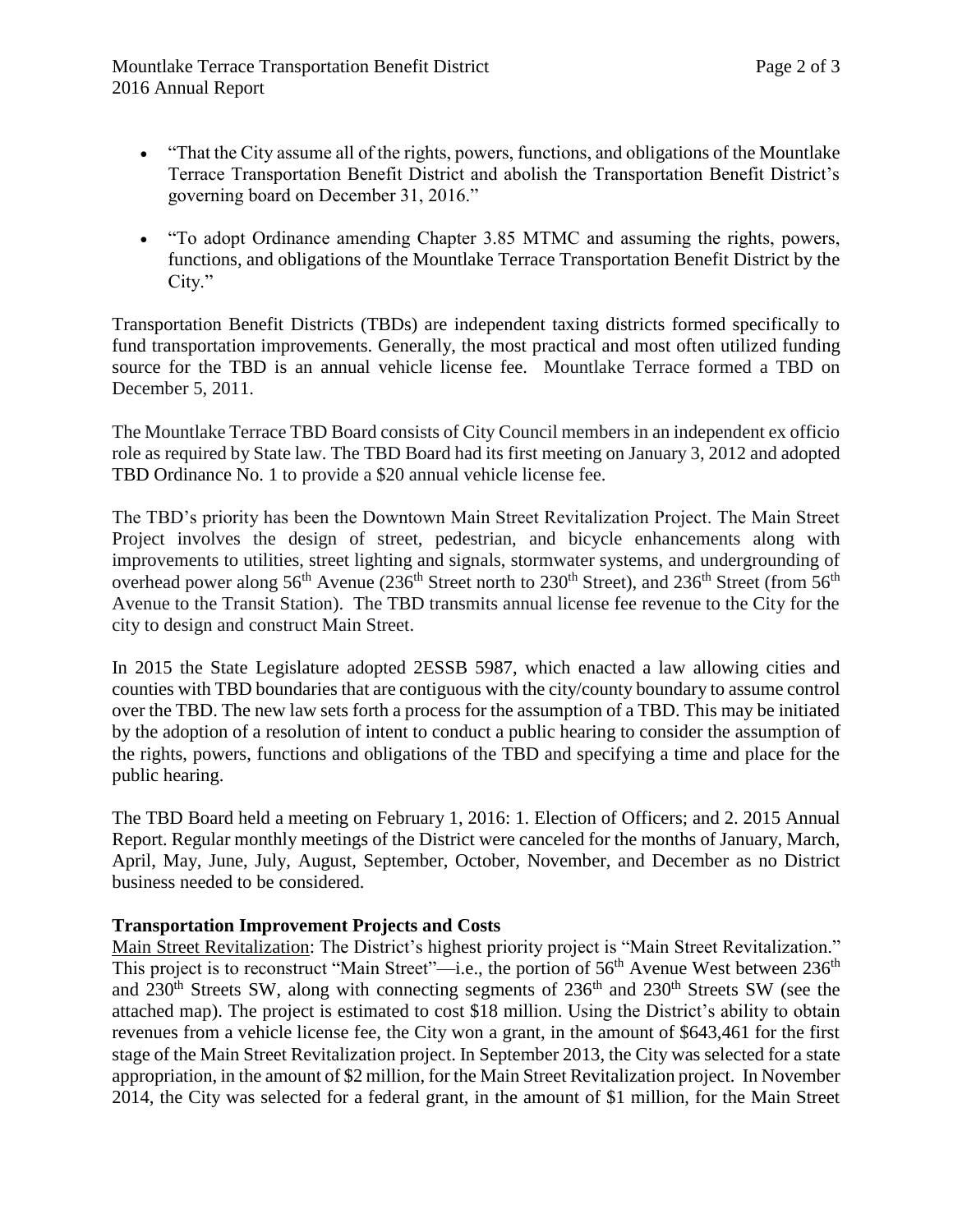- "That the City assume all of the rights, powers, functions, and obligations of the Mountlake Terrace Transportation Benefit District and abolish the Transportation Benefit District's governing board on December 31, 2016."
- "To adopt Ordinance amending Chapter 3.85 MTMC and assuming the rights, powers, functions, and obligations of the Mountlake Terrace Transportation Benefit District by the City."

Transportation Benefit Districts (TBDs) are independent taxing districts formed specifically to fund transportation improvements. Generally, the most practical and most often utilized funding source for the TBD is an annual vehicle license fee. Mountlake Terrace formed a TBD on December 5, 2011.

The Mountlake Terrace TBD Board consists of City Council members in an independent ex officio role as required by State law. The TBD Board had its first meeting on January 3, 2012 and adopted TBD Ordinance No. 1 to provide a \$20 annual vehicle license fee.

The TBD's priority has been the Downtown Main Street Revitalization Project. The Main Street Project involves the design of street, pedestrian, and bicycle enhancements along with improvements to utilities, street lighting and signals, stormwater systems, and undergrounding of overhead power along  $56<sup>th</sup>$  Avenue (236<sup>th</sup> Street north to 230<sup>th</sup> Street), and 236<sup>th</sup> Street (from  $56<sup>th</sup>$ Avenue to the Transit Station). The TBD transmits annual license fee revenue to the City for the city to design and construct Main Street.

In 2015 the State Legislature adopted 2ESSB 5987, which enacted a law allowing cities and counties with TBD boundaries that are contiguous with the city/county boundary to assume control over the TBD. The new law sets forth a process for the assumption of a TBD. This may be initiated by the adoption of a resolution of intent to conduct a public hearing to consider the assumption of the rights, powers, functions and obligations of the TBD and specifying a time and place for the public hearing.

The TBD Board held a meeting on February 1, 2016: 1. Election of Officers; and 2. 2015 Annual Report. Regular monthly meetings of the District were canceled for the months of January, March, April, May, June, July, August, September, October, November, and December as no District business needed to be considered.

## **Transportation Improvement Projects and Costs**

Main Street Revitalization: The District's highest priority project is "Main Street Revitalization." This project is to reconstruct "Main Street"—i.e., the portion of 56<sup>th</sup> Avenue West between 236<sup>th</sup> and  $230<sup>th</sup>$  Streets SW, along with connecting segments of  $236<sup>th</sup>$  and  $230<sup>th</sup>$  Streets SW (see the attached map). The project is estimated to cost \$18 million. Using the District's ability to obtain revenues from a vehicle license fee, the City won a grant, in the amount of \$643,461 for the first stage of the Main Street Revitalization project. In September 2013, the City was selected for a state appropriation, in the amount of \$2 million, for the Main Street Revitalization project. In November 2014, the City was selected for a federal grant, in the amount of \$1 million, for the Main Street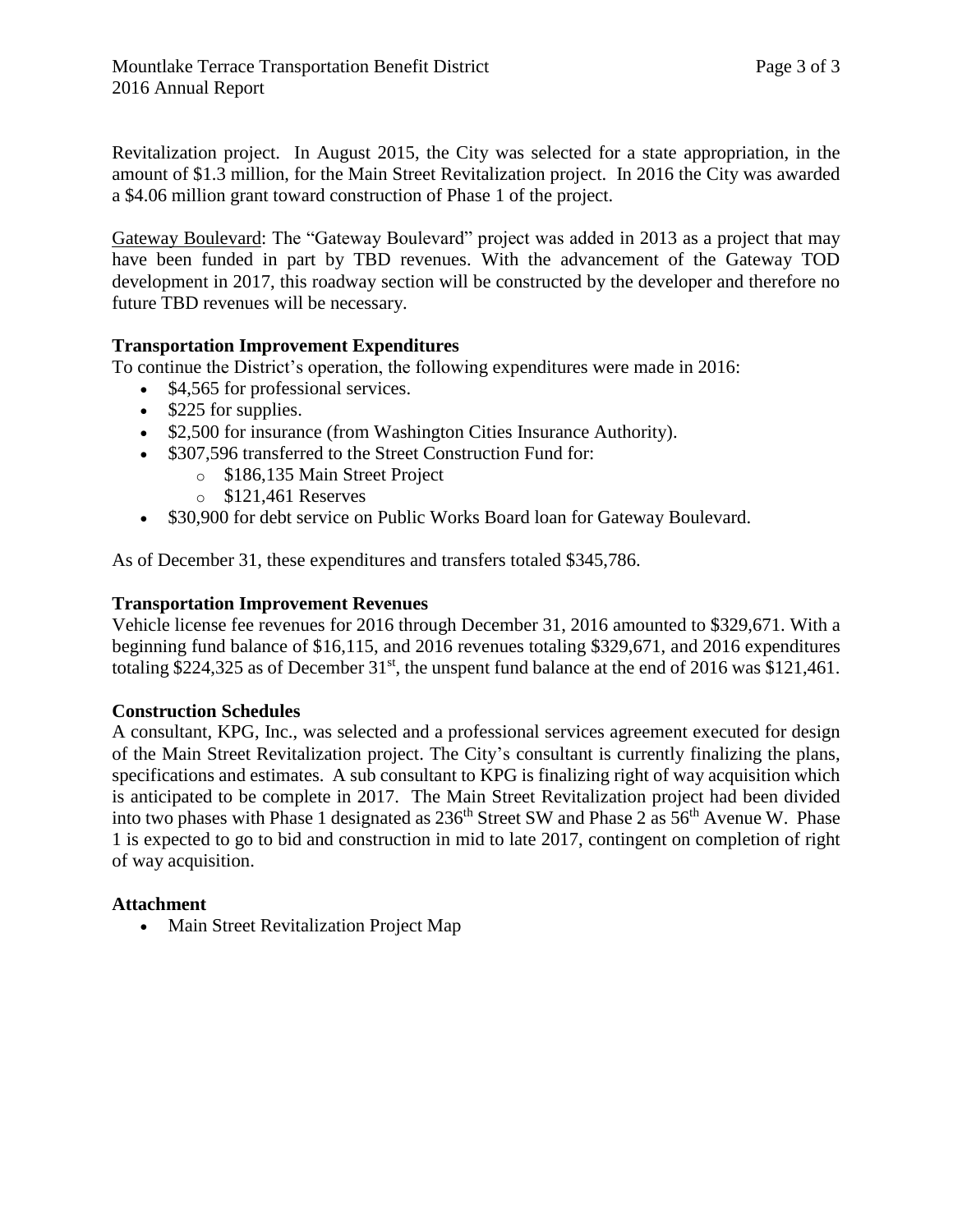Revitalization project. In August 2015, the City was selected for a state appropriation, in the amount of \$1.3 million, for the Main Street Revitalization project. In 2016 the City was awarded a \$4.06 million grant toward construction of Phase 1 of the project.

Gateway Boulevard: The "Gateway Boulevard" project was added in 2013 as a project that may have been funded in part by TBD revenues. With the advancement of the Gateway TOD development in 2017, this roadway section will be constructed by the developer and therefore no future TBD revenues will be necessary.

## **Transportation Improvement Expenditures**

To continue the District's operation, the following expenditures were made in 2016:

- \$4,565 for professional services.
- $\bullet$  \$225 for supplies.
- \$2,500 for insurance (from Washington Cities Insurance Authority).
- \$307,596 transferred to the Street Construction Fund for:
	- o \$186,135 Main Street Project
	- $\circ$  \$121,461 Reserves
- \$30,900 for debt service on Public Works Board loan for Gateway Boulevard.

As of December 31, these expenditures and transfers totaled \$345,786.

## **Transportation Improvement Revenues**

Vehicle license fee revenues for 2016 through December 31, 2016 amounted to \$329,671. With a beginning fund balance of \$16,115, and 2016 revenues totaling \$329,671, and 2016 expenditures totaling \$224,325 as of December  $31<sup>st</sup>$ , the unspent fund balance at the end of 2016 was \$121,461.

## **Construction Schedules**

A consultant, KPG, Inc., was selected and a professional services agreement executed for design of the Main Street Revitalization project. The City's consultant is currently finalizing the plans, specifications and estimates. A sub consultant to KPG is finalizing right of way acquisition which is anticipated to be complete in 2017. The Main Street Revitalization project had been divided into two phases with Phase 1 designated as  $236<sup>th</sup>$  Street SW and Phase 2 as  $56<sup>th</sup>$  Avenue W. Phase 1 is expected to go to bid and construction in mid to late 2017, contingent on completion of right of way acquisition.

## **Attachment**

Main Street Revitalization Project Map